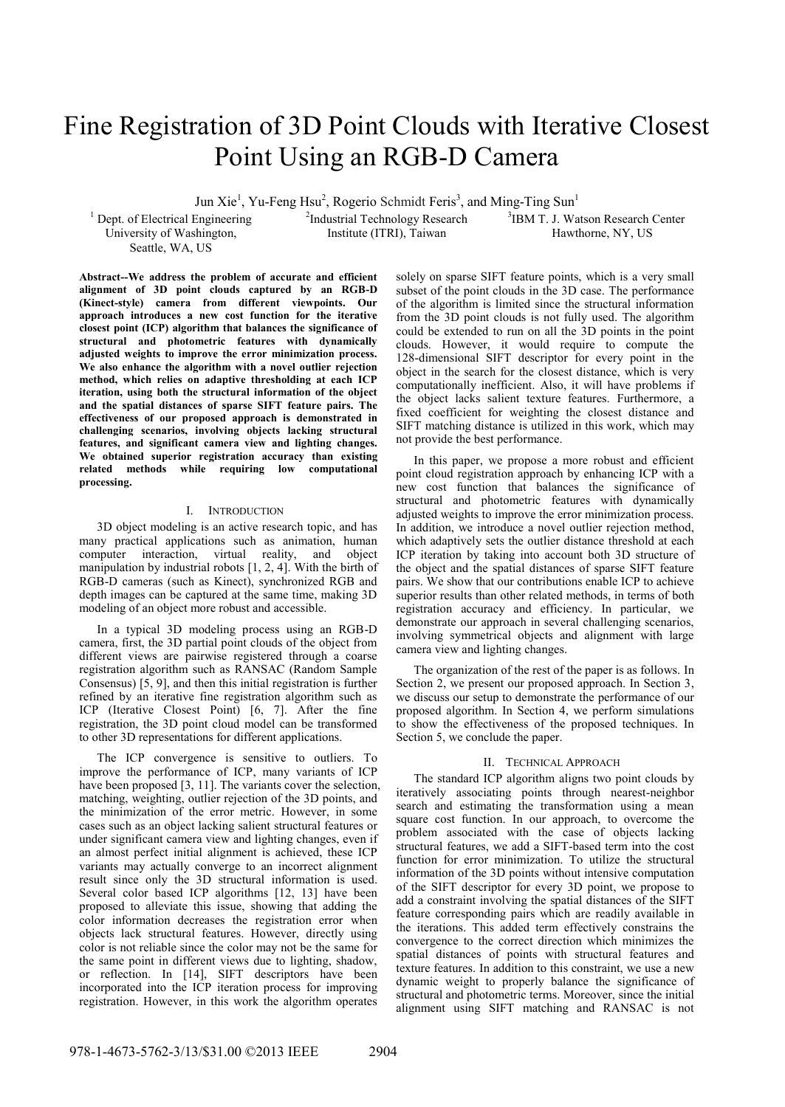# Fine Registration of 3D Point Clouds with Iterative Closest Point Using an RGB-D Camera

Jun Xie<sup>1</sup>, Yu-Feng Hsu<sup>2</sup>, Rogerio Schmidt Feris<sup>3</sup>, and Ming-Ting Sun<sup>1</sup>

<sup>1</sup> Dept. of Electrical Engineering University of Washington, Seattle, WA, US

<sup>2</sup>Industrial Technology Research Institute (ITRI), Taiwan

3 IBM T. J. Watson Research Center Hawthorne, NY, US

**Abstract--We address the problem of accurate and efficient alignment of 3D point clouds captured by an RGB-D (Kinect-style) camera from different viewpoints. Our approach introduces a new cost function for the iterative closest point (ICP) algorithm that balances the significance of structural and photometric features with dynamically adjusted weights to improve the error minimization process. We also enhance the algorithm with a novel outlier rejection method, which relies on adaptive thresholding at each ICP iteration, using both the structural information of the object and the spatial distances of sparse SIFT feature pairs. The effectiveness of our proposed approach is demonstrated in challenging scenarios, involving objects lacking structural features, and significant camera view and lighting changes. We obtained superior registration accuracy than existing related methods while requiring low computational processing.**

## I. INTRODUCTION

3D object modeling is an active research topic, and has many practical applications such as animation, human computer interaction, virtual reality, and object manipulation by industrial robots [1, 2, 4]. With the birth of RGB-D cameras (such as Kinect), synchronized RGB and depth images can be captured at the same time, making 3D modeling of an object more robust and accessible.

In a typical 3D modeling process using an RGB-D camera, first, the 3D partial point clouds of the object from different views are pairwise registered through a coarse registration algorithm such as RANSAC (Random Sample Consensus) [5, 9], and then this initial registration is further refined by an iterative fine registration algorithm such as ICP (Iterative Closest Point) [6, 7]. After the fine registration, the 3D point cloud model can be transformed to other 3D representations for different applications.

The ICP convergence is sensitive to outliers. To improve the performance of ICP, many variants of ICP have been proposed [3, 11]. The variants cover the selection, matching, weighting, outlier rejection of the 3D points, and the minimization of the error metric. However, in some cases such as an object lacking salient structural features or under significant camera view and lighting changes, even if an almost perfect initial alignment is achieved, these ICP variants may actually converge to an incorrect alignment result since only the 3D structural information is used. Several color based ICP algorithms [12, 13] have been proposed to alleviate this issue, showing that adding the color information decreases the registration error when objects lack structural features. However, directly using color is not reliable since the color may not be the same for the same point in different views due to lighting, shadow, or reflection. In [14], SIFT descriptors have been incorporated into the ICP iteration process for improving registration. However, in this work the algorithm operates

solely on sparse SIFT feature points, which is a very small subset of the point clouds in the 3D case. The performance of the algorithm is limited since the structural information from the 3D point clouds is not fully used. The algorithm could be extended to run on all the 3D points in the point clouds. However, it would require to compute the 128-dimensional SIFT descriptor for every point in the object in the search for the closest distance, which is very computationally inefficient. Also, it will have problems if the object lacks salient texture features. Furthermore, a fixed coefficient for weighting the closest distance and SIFT matching distance is utilized in this work, which may not provide the best performance.

In this paper, we propose a more robust and efficient point cloud registration approach by enhancing ICP with a new cost function that balances the significance of structural and photometric features with dynamically adjusted weights to improve the error minimization process. In addition, we introduce a novel outlier rejection method, which adaptively sets the outlier distance threshold at each ICP iteration by taking into account both 3D structure of the object and the spatial distances of sparse SIFT feature pairs. We show that our contributions enable ICP to achieve superior results than other related methods, in terms of both registration accuracy and efficiency. In particular, we demonstrate our approach in several challenging scenarios, involving symmetrical objects and alignment with large camera view and lighting changes.

The organization of the rest of the paper is as follows. In Section 2, we present our proposed approach. In Section 3, we discuss our setup to demonstrate the performance of our proposed algorithm. In Section 4, we perform simulations to show the effectiveness of the proposed techniques. In Section 5, we conclude the paper.

#### II. TECHNICAL APPROACH

The standard ICP algorithm aligns two point clouds by iteratively associating points through nearest-neighbor search and estimating the transformation using a mean square cost function. In our approach, to overcome the problem associated with the case of objects lacking structural features, we add a SIFT-based term into the cost function for error minimization. To utilize the structural information of the 3D points without intensive computation of the SIFT descriptor for every 3D point, we propose to add a constraint involving the spatial distances of the SIFT feature corresponding pairs which are readily available in the iterations. This added term effectively constrains the convergence to the correct direction which minimizes the spatial distances of points with structural features and texture features. In addition to this constraint, we use a new dynamic weight to properly balance the significance of structural and photometric terms. Moreover, since the initial alignment using SIFT matching and RANSAC is not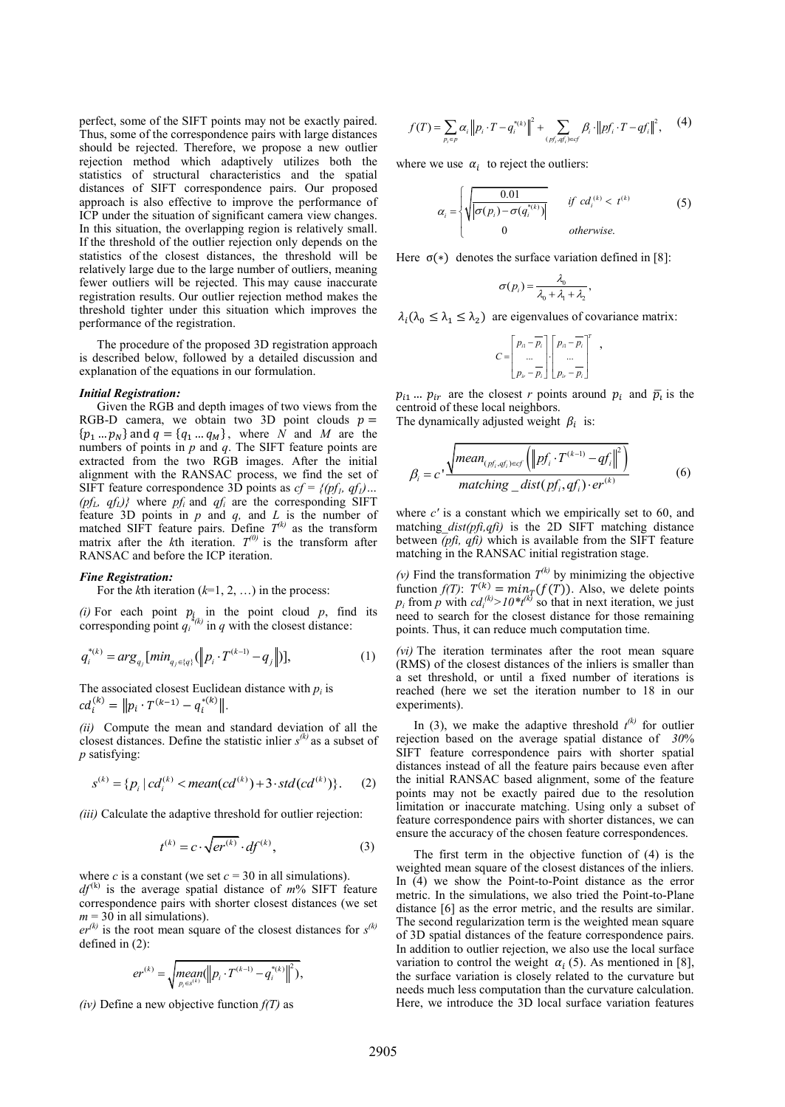perfect, some of the SIFT points may not be exactly paired. Thus, some of the correspondence pairs with large distances should be rejected. Therefore, we propose a new outlier rejection method which adaptively utilizes both the statistics of structural characteristics and the spatial distances of SIFT correspondence pairs. Our proposed approach is also effective to improve the performance of ICP under the situation of significant camera view changes. In this situation, the overlapping region is relatively small. If the threshold of the outlier rejection only depends on the statistics of the closest distances, the threshold will be relatively large due to the large number of outliers, meaning fewer outliers will be rejected. This may cause inaccurate registration results. Our outlier rejection method makes the threshold tighter under this situation which improves the performance of the registration. performance of the constraints on the specific state and the specific state of the specific state of the specific state of the specific state of the specific state of the specific state of the specific state of the specif

The procedure of the proposed 3D registration approach is described below, followed by a detailed discussion and explanation of the equations in our formulation.

#### *Initial Registration:*

Given the RGB and depth images of two views from the RGB-D camera, we obtain two 3D point clouds  $p =$  ${p_1...p_N}$  and  $q = {q_1...q_M}$ , where *N* and *M* are the numbers of points in *p* and *q*. The SIFT feature points are extracted from the two RGB images. After the initial alignment with the RANSAC process, we find the set of SIFT feature correspondence 3D points as  $cf = \{(pf_1, qf_1) \dots$ (*pf*<sub>*L*</sub>,  $qf$ <sub>*L*</sub>)</sub>} where  $pf$ <sup>*i*</sup> and  $qf$ <sup>*i*</sup> are the corresponding SIFT feature 3D points in *p* and *q,* and *L* is the number of matched SIFT feature pairs. Define  $T^{(k)}$  as the transform matrix after the  $k$ th iteration.  $T^{(0)}$  is the transform after RANSAC and before the ICP iteration.

#### *Fine Registration:*

For the *k*th iteration (*k*=1, 2, …) in the process:

(*i*) For each point  $p_i$  in the point cloud  $p$ , find its corresponding point  $q_i^{*(k)}$  in  $q$  with the closest distance:

$$
q_i^{*(k)} = arg_{q_j}[min_{q_j \in \{q\}}(||p_i \cdot T^{(k-1)} - q_j||)], \qquad (1)
$$

The associated closest Euclidean distance with  $p_i$  is  $cd_i^{(k)} = ||p_i \cdot T^{(k-1)} - q_i^{*(k)}||.$ 

*(ii)* Compute the mean and standard deviation of all the closest distances. Define the statistic inlier  $s^{(k)}$  as a subset of *p* satisfying:

zatisfying:  
\n
$$
s^{(k)} = \{p_i \mid cd_i^{(k)} < mean(cd^{(k)}) + 3 \cdot std(cd^{(k)})\}.
$$
\n(2)

*(iii)* Calculate the adaptive threshold for outlier rejection:

$$
t^{(k)} = c \cdot \sqrt{er^{(k)}} \cdot df^{(k)},\tag{3}
$$

where *c* is a constant (we set  $c = 30$  in all simulations).

 $df^{(k)}$  is the average spatial distance of  $m\%$  SIFT feature correspondence pairs with shorter closest distances (we set  $m = 30$  in all simulations).

 $er^{(k)}$  is the root mean square of the closest distances for  $s^{(k)}$ defined in (2):

$$
er^{(k)} = \sqrt{mean_{p_i \in s^{(k)}}(||p_i \cdot T^{(k-1)} - q_i^{*(k)}||^2)},
$$

$$
f(T) = \sum_{p_i \in p} \alpha_i \|p_i \cdot T - q_i^{*(k)}\|^2 + \sum_{(p'_i, q'_i) \in \mathcal{F}} \beta_i \cdot \|p f_i \cdot T - q f_i\|^2, \quad (4)
$$

where we use  $\alpha_i$  to reject the outliers:

$$
\alpha_i = \begin{cases} \sqrt{\frac{0.01}{|\sigma(p_i) - \sigma(q_i^{*(k)})|}} & \text{if } cd_i^{(k)} < t^{(k)}\\ 0 & \text{otherwise.} \end{cases} \tag{5}
$$

Here  $\sigma(*)$  denotes the surface variation defined in [8]:

$$
\sigma(p_i) = \frac{\lambda_0}{\lambda_0 + \lambda_1 + \lambda_2},
$$

 $\lambda_i(\lambda_0 \leq \lambda_1 \leq \lambda_2)$  are eigenvalues of covariance matrix:

$$
C = \begin{bmatrix} p_{n} - \overline{p_{i}} \\ \dots \\ p_{ir} - \overline{p_{i}} \end{bmatrix} \begin{bmatrix} p_{n} - \overline{p_{i}} \\ \dots \\ p_{ir} - \overline{p_{i}} \end{bmatrix}^{T},
$$

 $p_{i1} \dots p_{ir}$  are the closest *r* points around  $p_i$  and  $\overline{p}_i$  is the centroid of these local neighbors.

The dynamically adjusted weight  $\beta_i$  is:

$$
\beta_{i} = c \cdot \frac{\sqrt{mean_{(pf_{i},qf_{i}) \in cf} (\left\|pf_{i} \cdot T^{(k-1)} - qf_{i}\right\|^{2})}}{matching\_dist(pf_{i},qf_{i}) \cdot er^{(k)}} \tag{6}
$$

where *c'* is a constant which we empirically set to 60, and matching\_*dist(pfi,qfi)* is the 2D SIFT matching distance between *(pfi, qfi)* which is available from the SIFT feature matching in the RANSAC initial registration stage.

(v) Find the transformation  $T^{(k)}$  by minimizing the objective function  $f(T)$ :  $T^{(k)} = min_T(f(T))$ . Also, we delete points  $p_i$  from *p* with  $cd_i^{(k)} > 10*t^{(k)}$  so that in next iteration, we just need to search for the closest distance for those remaining points. Thus, it can reduce much computation time.

*(vi)* The iteration terminates after the root mean square (RMS) of the closest distances of the inliers is smaller than a set threshold, or until a fixed number of iterations is reached (here we set the iteration number to 18 in our experiments).

In (3), we make the adaptive threshold  $t^{(k)}$  for outlier rejection based on the average spatial distance of *30*% SIFT feature correspondence pairs with shorter spatial distances instead of all the feature pairs because even after the initial RANSAC based alignment, some of the feature points may not be exactly paired due to the resolution limitation or inaccurate matching. Using only a subset of feature correspondence pairs with shorter distances, we can ensure the accuracy of the chosen feature correspondences.

The first term in the objective function of (4) is the weighted mean square of the closest distances of the inliers. In (4) we show the Point-to-Point distance as the error metric. In the simulations, we also tried the Point-to-Plane distance [6] as the error metric, and the results are similar. The second regularization term is the weighted mean square of 3D spatial distances of the feature correspondence pairs. In addition to outlier rejection, we also use the local surface variation to control the weight  $\alpha_i$  (5). As mentioned in [8], the surface variation is closely related to the curvature but needs much less computation than the curvature calculation. Here, we introduce the 3D local surface variation features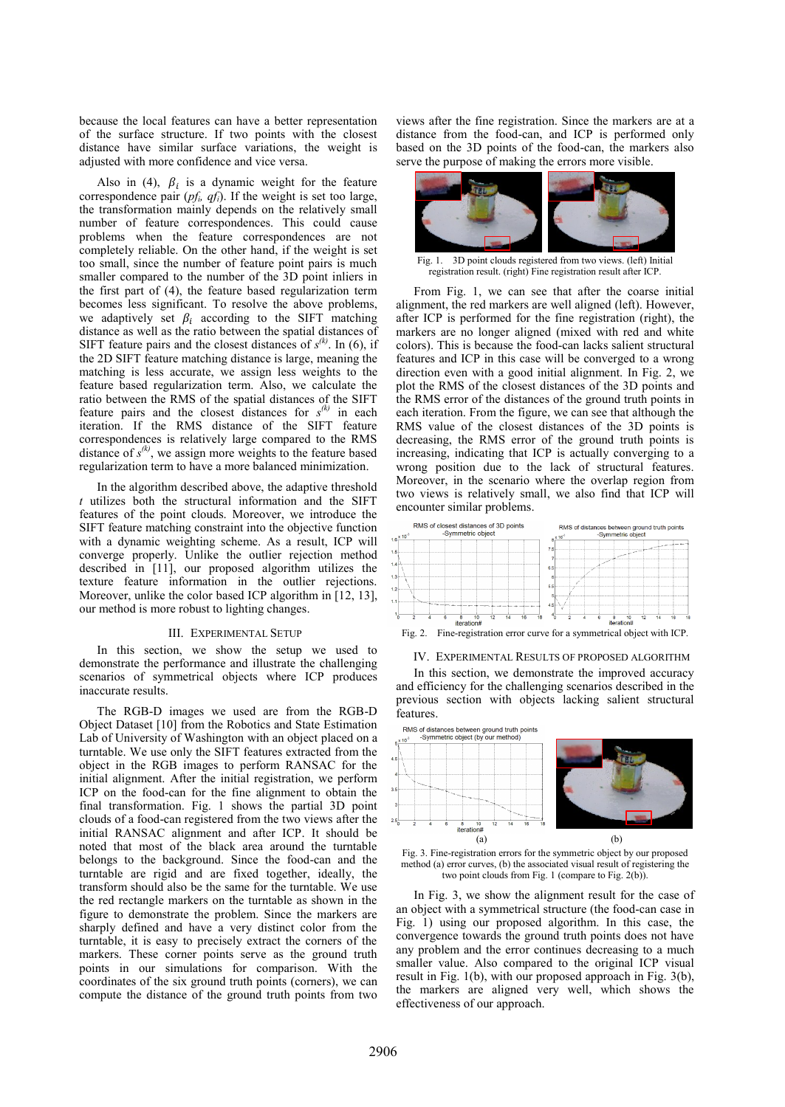because the local features can have a better representation of the surface structure. If two points with the closest distance have similar surface variations, the weight is adjusted with more confidence and vice versa.

Also in (4),  $\beta_i$  is a dynamic weight for the feature correspondence pair  $(pf_i, qf_i)$ . If the weight is set too large, the transformation mainly depends on the relatively small number of feature correspondences. This could cause problems when the feature correspondences are not completely reliable. On the other hand, if the weight is set too small, since the number of feature point pairs is much smaller compared to the number of the 3D point inliers in the first part of (4), the feature based regularization term becomes less significant. To resolve the above problems, we adaptively set  $\beta_i$  according to the SIFT matching distance as well as the ratio between the spatial distances of SIFT feature pairs and the closest distances of  $s^{(k)}$ . In (6), if the 2D SIFT feature matching distance is large, meaning the matching is less accurate, we assign less weights to the feature based regularization term. Also, we calculate the ratio between the RMS of the spatial distances of the SIFT feature pairs and the closest distances for  $s^{(k)}$  in each iteration. If the RMS distance of the SIFT feature correspondences is relatively large compared to the RMS distance of  $s^{(k)}$ , we assign more weights to the feature based regularization term to have a more balanced minimization.

In the algorithm described above, the adaptive threshold *t* utilizes both the structural information and the SIFT features of the point clouds. Moreover, we introduce the SIFT feature matching constraint into the objective function with a dynamic weighting scheme. As a result, ICP will converge properly. Unlike the outlier rejection method described in [11], our proposed algorithm utilizes the texture feature information in the outlier rejections. Moreover, unlike the color based ICP algorithm in [12, 13], our method is more robust to lighting changes.

#### III. EXPERIMENTAL SETUP

In this section, we show the setup we used to demonstrate the performance and illustrate the challenging scenarios of symmetrical objects where ICP produces inaccurate results.

The RGB-D images we used are from the RGB-D Object Dataset [10] from the Robotics and State Estimation Lab of University of Washington with an object placed on a turntable. We use only the SIFT features extracted from the object in the RGB images to perform RANSAC for the initial alignment. After the initial registration, we perform ICP on the food-can for the fine alignment to obtain the final transformation. Fig. 1 shows the partial 3D point clouds of a food-can registered from the two views after the initial RANSAC alignment and after ICP. It should be noted that most of the black area around the turntable belongs to the background. Since the food-can and the turntable are rigid and are fixed together, ideally, the transform should also be the same for the turntable. We use the red rectangle markers on the turntable as shown in the figure to demonstrate the problem. Since the markers are sharply defined and have a very distinct color from the turntable, it is easy to precisely extract the corners of the markers. These corner points serve as the ground truth points in our simulations for comparison. With the coordinates of the six ground truth points (corners), we can compute the distance of the ground truth points from two views after the fine registration. Since the markers are at a distance from the food-can, and ICP is performed only based on the 3D points of the food-can, the markers also serve the purpose of making the errors more visible.



Fig. 1. 3D point clouds registered from two views. (left) Initial registration result. (right) Fine registration result after ICP.

From Fig. 1, we can see that after the coarse initial alignment, the red markers are well aligned (left). However, after ICP is performed for the fine registration (right), the markers are no longer aligned (mixed with red and white colors). This is because the food-can lacks salient structural features and ICP in this case will be converged to a wrong direction even with a good initial alignment. In Fig. 2, we plot the RMS of the closest distances of the 3D points and the RMS error of the distances of the ground truth points in each iteration. From the figure, we can see that although the RMS value of the closest distances of the 3D points is decreasing, the RMS error of the ground truth points is increasing, indicating that ICP is actually converging to a wrong position due to the lack of structural features. Moreover, in the scenario where the overlap region from two views is relatively small, we also find that ICP will encounter similar problems.







In this section, we demonstrate the improved accuracy and efficiency for the challenging scenarios described in the previous section with objects lacking salient structural features.



Fig. 3. Fine-registration errors for the symmetric object by our proposed method (a) error curves, (b) the associated visual result of registering the two point clouds from Fig. 1 (compare to Fig. 2(b)).

In Fig. 3, we show the alignment result for the case of an object with a symmetrical structure (the food-can case in Fig. 1) using our proposed algorithm. In this case, the convergence towards the ground truth points does not have any problem and the error continues decreasing to a much smaller value. Also compared to the original ICP visual result in Fig. 1(b), with our proposed approach in Fig. 3(b), the markers are aligned very well, which shows the effectiveness of our approach.